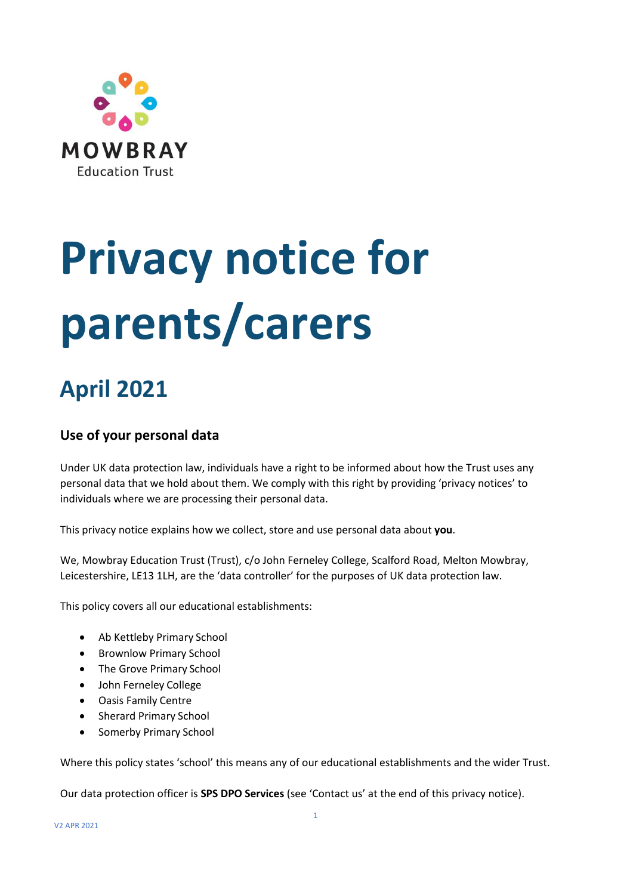

# **Privacy notice for parents/carers**

# **April 2021**

# **Use of your personal data**

Under UK data protection law, individuals have a right to be informed about how the Trust uses any personal data that we hold about them. We comply with this right by providing 'privacy notices' to individuals where we are processing their personal data.

This privacy notice explains how we collect, store and use personal data about **you**.

We, Mowbray Education Trust (Trust), c/o John Ferneley College, Scalford Road, Melton Mowbray, Leicestershire, LE13 1LH, are the 'data controller' for the purposes of UK data protection law.

This policy covers all our educational establishments:

- Ab Kettleby Primary School
- Brownlow Primary School
- The Grove Primary School
- John Ferneley College
- Oasis Family Centre
- Sherard Primary School
- Somerby Primary School

Where this policy states 'school' this means any of our educational establishments and the wider Trust.

Our data protection officer is **SPS DPO Services** (see 'Contact us' at the end of this privacy notice).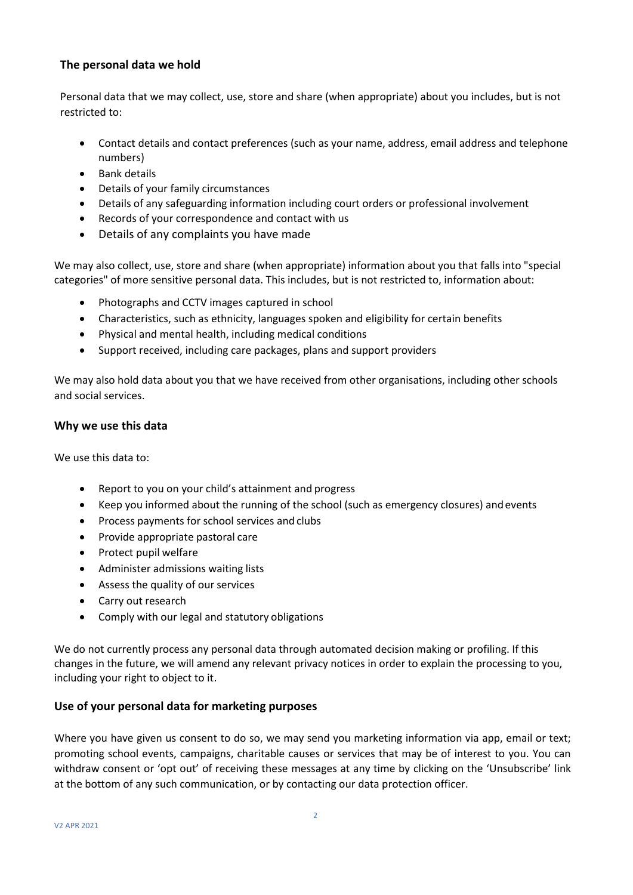## **The personal data we hold**

Personal data that we may collect, use, store and share (when appropriate) about you includes, but is not restricted to:

- Contact details and contact preferences (such as your name, address, email address and telephone numbers)
- Bank details
- Details of your family circumstances
- Details of any safeguarding information including court orders or professional involvement
- Records of your correspondence and contact with us
- Details of any complaints you have made

We may also collect, use, store and share (when appropriate) information about you that falls into "special categories" of more sensitive personal data. This includes, but is not restricted to, information about:

- Photographs and CCTV images captured in school
- Characteristics, such as ethnicity, languages spoken and eligibility for certain benefits
- Physical and mental health, including medical conditions
- Support received, including care packages, plans and support providers

We may also hold data about you that we have received from other organisations, including other schools and social services.

#### **Why we use this data**

We use this data to:

- Report to you on your child's attainment and progress
- Keep you informed about the running of the school (such as emergency closures) andevents
- Process payments for school services and clubs
- Provide appropriate pastoral care
- Protect pupil welfare
- Administer admissions waiting lists
- Assess the quality of our services
- Carry out research
- Comply with our legal and statutory obligations

We do not currently process any personal data through automated decision making or profiling. If this changes in the future, we will amend any relevant privacy notices in order to explain the processing to you, including your right to object to it.

## **Use of your personal data for marketing purposes**

Where you have given us consent to do so, we may send you marketing information via app, email or text; promoting school events, campaigns, charitable causes or services that may be of interest to you. You can withdraw consent or 'opt out' of receiving these messages at any time by clicking on the 'Unsubscribe' link at the bottom of any such communication, or by contacting our data protection officer.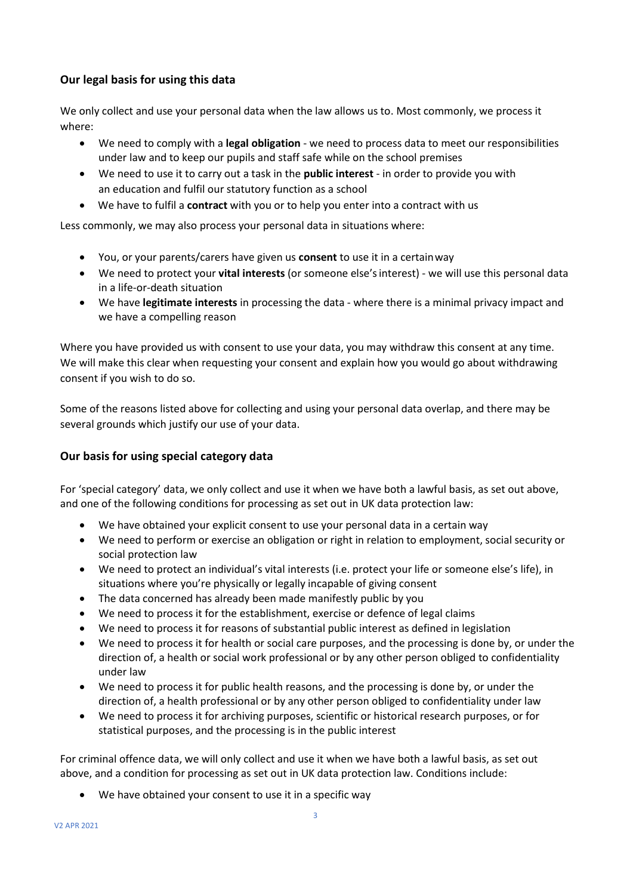# **Our legal basis for using this data**

We only collect and use your personal data when the law allows us to. Most commonly, we process it where:

- We need to comply with a **legal obligation** we need to process data to meet our responsibilities under law and to keep our pupils and staff safe while on the school premises
- We need to use it to carry out a task in the **public interest** in order to provide you with an education and fulfil our statutory function as a school
- We have to fulfil a **contract** with you or to help you enter into a contract with us

Less commonly, we may also process your personal data in situations where:

- You, or your parents/carers have given us **consent** to use it in a certainway
- We need to protect your **vital interests** (or someone else'sinterest) we will use this personal data in a life-or-death situation
- We have **legitimate interests** in processing the data where there is a minimal privacy impact and we have a compelling reason

Where you have provided us with consent to use your data, you may withdraw this consent at any time. We will make this clear when requesting your consent and explain how you would go about withdrawing consent if you wish to do so.

Some of the reasons listed above for collecting and using your personal data overlap, and there may be several grounds which justify our use of your data.

# **Our basis for using special category data**

For 'special category' data, we only collect and use it when we have both a lawful basis, as set out above, and one of the following conditions for processing as set out in UK data protection law:

- We have obtained your explicit consent to use your personal data in a certain way
- We need to perform or exercise an obligation or right in relation to employment, social security or social protection law
- We need to protect an individual's vital interests (i.e. protect your life or someone else's life), in situations where you're physically or legally incapable of giving consent
- The data concerned has already been made manifestly public by you
- We need to process it for the establishment, exercise or defence of legal claims
- We need to process it for reasons of substantial public interest as defined in legislation
- We need to process it for health or social care purposes, and the processing is done by, or under the direction of, a health or social work professional or by any other person obliged to confidentiality under law
- We need to process it for public health reasons, and the processing is done by, or under the direction of, a health professional or by any other person obliged to confidentiality under law
- We need to process it for archiving purposes, scientific or historical research purposes, or for statistical purposes, and the processing is in the public interest

For criminal offence data, we will only collect and use it when we have both a lawful basis, as set out above, and a condition for processing as set out in UK data protection law. Conditions include:

• We have obtained your consent to use it in a specific way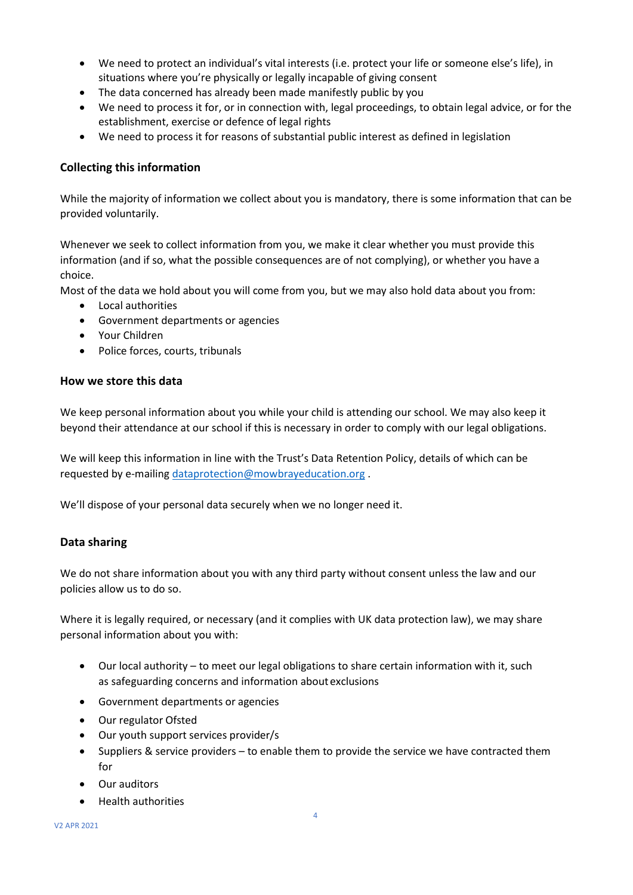- We need to protect an individual's vital interests (i.e. protect your life or someone else's life), in situations where you're physically or legally incapable of giving consent
- The data concerned has already been made manifestly public by you
- We need to process it for, or in connection with, legal proceedings, to obtain legal advice, or for the establishment, exercise or defence of legal rights
- We need to process it for reasons of substantial public interest as defined in legislation

## **Collecting this information**

While the majority of information we collect about you is mandatory, there is some information that can be provided voluntarily.

Whenever we seek to collect information from you, we make it clear whether you must provide this information (and if so, what the possible consequences are of not complying), or whether you have a choice.

Most of the data we hold about you will come from you, but we may also hold data about you from:

- Local authorities
- Government departments or agencies
- Your Children
- Police forces, courts, tribunals

#### **How we store this data**

We keep personal information about you while your child is attending our school. We may also keep it beyond their attendance at our school if this is necessary in order to comply with our legal obligations.

We will keep this information in line with the Trust's Data Retention Policy, details of which can be requested by e-mailing [dataprotection@mowbrayeducation.org](mailto:dataprotection@mowbrayeducation.org) .

We'll dispose of your personal data securely when we no longer need it.

## **Data sharing**

We do not share information about you with any third party without consent unless the law and our policies allow us to do so.

Where it is legally required, or necessary (and it complies with UK data protection law), we may share personal information about you with:

- Our local authority to meet our legal obligations to share certain information with it, such as safeguarding concerns and information about exclusions
- Government departments or agencies
- Our regulator Ofsted
- Our youth support services provider/s
- Suppliers & service providers to enable them to provide the service we have contracted them for
- Our auditors
- Health authorities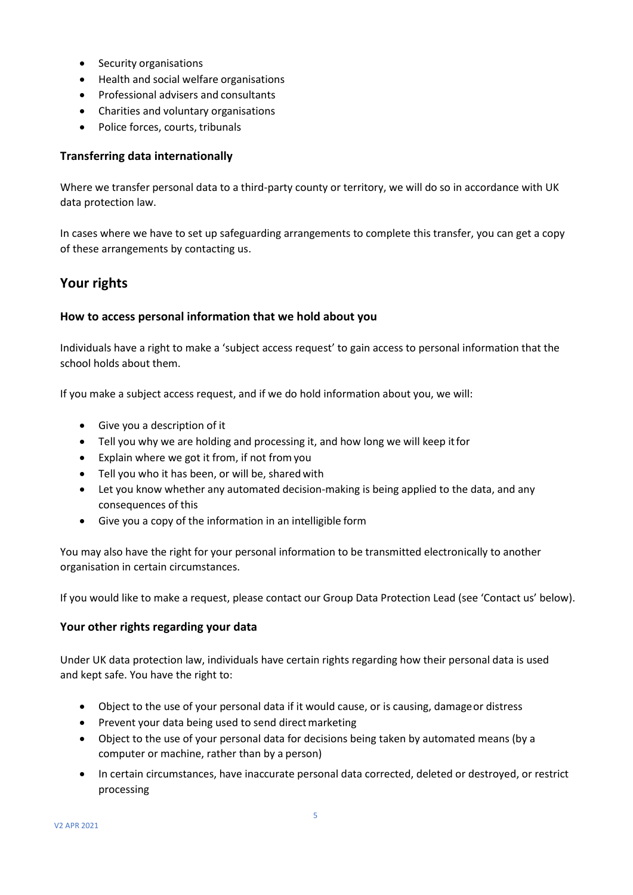- Security organisations
- Health and social welfare organisations
- Professional advisers and consultants
- Charities and voluntary organisations
- Police forces, courts, tribunals

#### **Transferring data internationally**

Where we transfer personal data to a third-party county or territory, we will do so in accordance with UK data protection law.

In cases where we have to set up safeguarding arrangements to complete this transfer, you can get a copy of these arrangements by contacting us.

# **Your rights**

#### **How to access personal information that we hold about you**

Individuals have a right to make a 'subject access request' to gain access to personal information that the school holds about them.

If you make a subject access request, and if we do hold information about you, we will:

- Give you a description of it
- Tell you why we are holding and processing it, and how long we will keep itfor
- Explain where we got it from, if not fromyou
- Tell you who it has been, or will be, sharedwith
- Let you know whether any automated decision-making is being applied to the data, and any consequences of this
- Give you a copy of the information in an intelligible form

You may also have the right for your personal information to be transmitted electronically to another organisation in certain circumstances.

If you would like to make a request, please contact our Group Data Protection Lead (see 'Contact us' below).

#### **Your other rights regarding your data**

Under UK data protection law, individuals have certain rights regarding how their personal data is used and kept safe. You have the right to:

- Object to the use of your personal data if it would cause, or is causing, damageor distress
- Prevent your data being used to send direct marketing
- Object to the use of your personal data for decisions being taken by automated means (by a computer or machine, rather than by a person)
- In certain circumstances, have inaccurate personal data corrected, deleted or destroyed, or restrict processing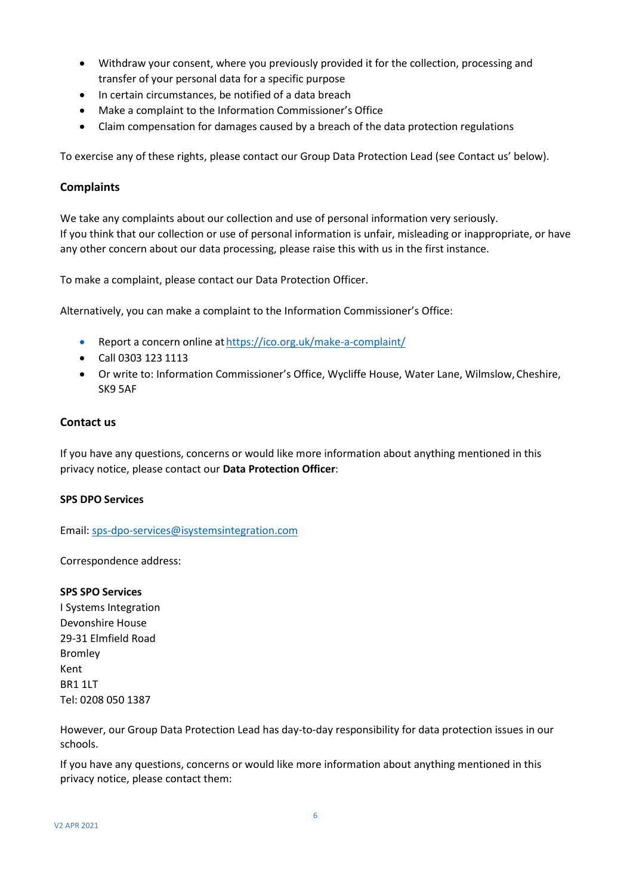- Withdraw your consent, where you previously provided it for the collection, processing and transfer of your personal data for a specific purpose
- In certain circumstances, be notified of a data breach
- Make a complaint to the Information Commissioner's Office
- Claim compensation for damages caused by a breach of the data protection regulations

To exercise any of these rights, please contact our Group Data Protection Lead (see Contact us' below).

#### **Complaints**

We take any complaints about our collection and use of personal information very seriously. If you think that our collection or use of personal information is unfair, misleading or inappropriate, or have any other concern about our data processing, please raise this with us in the first instance.

To make a complaint, please contact our Data Protection Officer.

Alternatively, you can make a complaint to the Information Commissioner's Office:

- Report a concern online at <https://ico.org.uk/make-a-complaint/>
- Call 0303 123 1113
- Or write to: Information Commissioner's Office, Wycliffe House, Water Lane, Wilmslow, Cheshire, SK9 5AF

#### **Contact us**

If you have any questions, concerns or would like more information about anything mentioned in this privacy notice, please contact our **Data Protection Officer**:

#### **SPS DPO Services**

Email[: sps-dpo-services@isystemsintegration.com](mailto:sps-dpo-services@isystemsintegration.com)

Correspondence address:

#### **SPS SPO Services**

I Systems Integration Devonshire House 29-31 Elmfield Road Bromley Kent BR1 1LT Tel: 0208 050 1387

However, our Group Data Protection Lead has day-to-day responsibility for data protection issues in our schools.

If you have any questions, concerns or would like more information about anything mentioned in this privacy notice, please contact them: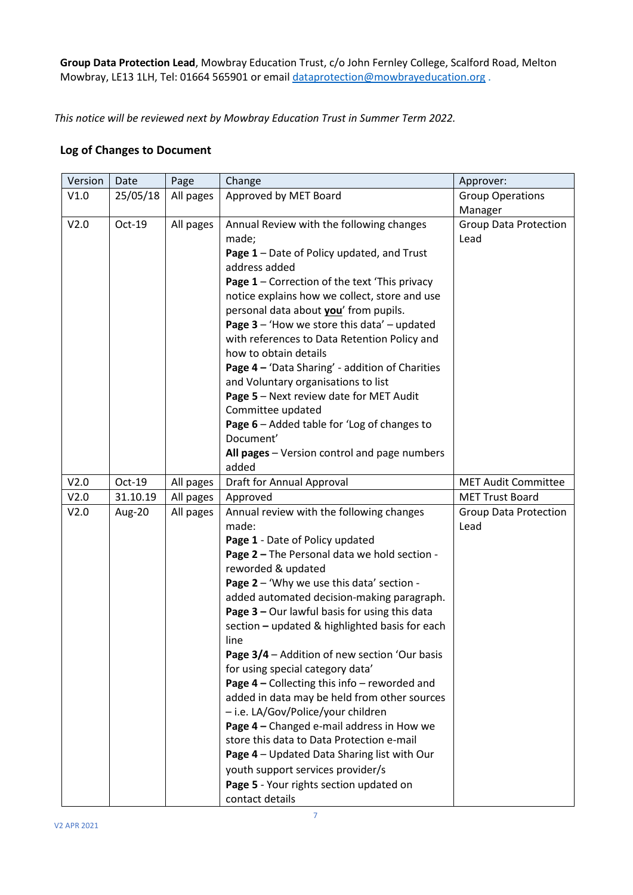**Group Data Protection Lead**, Mowbray Education Trust, c/o John Fernley College, Scalford Road, Melton Mowbray, LE13 1LH, Tel: 01664 565901 or email [dataprotection@mowbrayeducation.org](mailto:dataprotection@mowbrayeducation.org).

*This notice will be reviewed next by Mowbray Education Trust in Summer Term 2022.*

#### **Log of Changes to Document**

| Version | Date     | Page      | Change                                                                                                                                                                                                                                                                                                                                                                                                                                                                                                                                                                                                                                                                                                                                                                                                                                    | Approver:                            |
|---------|----------|-----------|-------------------------------------------------------------------------------------------------------------------------------------------------------------------------------------------------------------------------------------------------------------------------------------------------------------------------------------------------------------------------------------------------------------------------------------------------------------------------------------------------------------------------------------------------------------------------------------------------------------------------------------------------------------------------------------------------------------------------------------------------------------------------------------------------------------------------------------------|--------------------------------------|
| V1.0    | 25/05/18 | All pages | Approved by MET Board                                                                                                                                                                                                                                                                                                                                                                                                                                                                                                                                                                                                                                                                                                                                                                                                                     | <b>Group Operations</b>              |
|         |          |           |                                                                                                                                                                                                                                                                                                                                                                                                                                                                                                                                                                                                                                                                                                                                                                                                                                           | Manager                              |
| V2.0    | Oct-19   | All pages | Annual Review with the following changes<br>made;<br>Page 1 - Date of Policy updated, and Trust<br>address added<br>Page 1 - Correction of the text 'This privacy<br>notice explains how we collect, store and use<br>personal data about you' from pupils.<br>Page $3$ – 'How we store this data' – updated<br>with references to Data Retention Policy and<br>how to obtain details<br>Page 4 - 'Data Sharing' - addition of Charities<br>and Voluntary organisations to list<br>Page 5 - Next review date for MET Audit<br>Committee updated<br>Page 6 - Added table for 'Log of changes to<br>Document'<br>All pages - Version control and page numbers<br>added                                                                                                                                                                      | <b>Group Data Protection</b><br>Lead |
| V2.0    | $Oct-19$ | All pages | Draft for Annual Approval                                                                                                                                                                                                                                                                                                                                                                                                                                                                                                                                                                                                                                                                                                                                                                                                                 | <b>MET Audit Committee</b>           |
| V2.0    | 31.10.19 | All pages | Approved                                                                                                                                                                                                                                                                                                                                                                                                                                                                                                                                                                                                                                                                                                                                                                                                                                  | <b>MET Trust Board</b>               |
| V2.0    | Aug-20   | All pages | Annual review with the following changes<br>made:<br>Page 1 - Date of Policy updated<br>Page 2 - The Personal data we hold section -<br>reworded & updated<br>Page 2 - 'Why we use this data' section -<br>added automated decision-making paragraph.<br>Page 3 - Our lawful basis for using this data<br>section - updated & highlighted basis for each<br>line<br>Page 3/4 - Addition of new section 'Our basis<br>for using special category data'<br>Page $4$ – Collecting this info – reworded and<br>added in data may be held from other sources<br>- i.e. LA/Gov/Police/your children<br>Page 4 - Changed e-mail address in How we<br>store this data to Data Protection e-mail<br>Page 4 - Updated Data Sharing list with Our<br>youth support services provider/s<br>Page 5 - Your rights section updated on<br>contact details | <b>Group Data Protection</b><br>Lead |